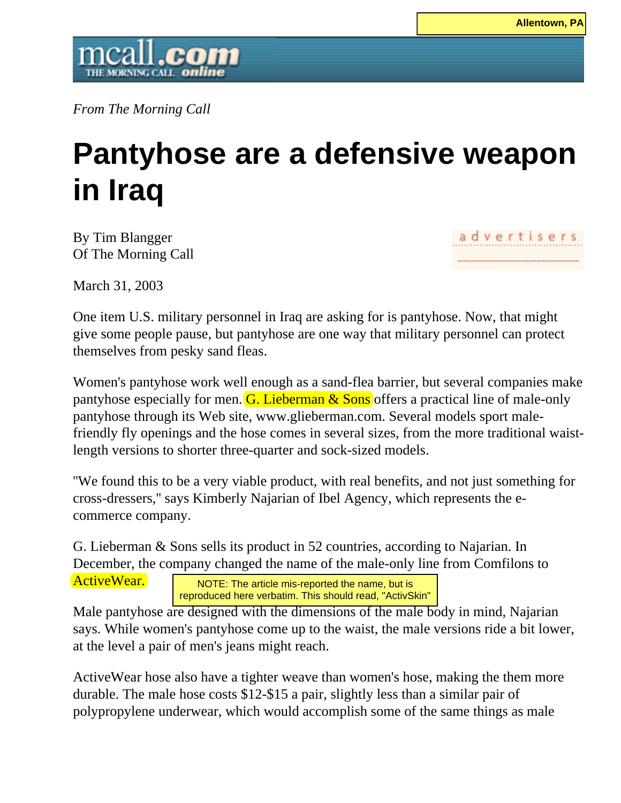MORNING CALL **online** 

*From The Morning Call*

## **Pantyhose are a defensive weapon in Iraq**

By Tim Blangger Of The Morning Call

advertisers 

March 31, 2003

One item U.S. military personnel in Iraq are asking for is pantyhose. Now, that might give some people pause, but pantyhose are one way that military personnel can protect themselves from pesky sand fleas.

Women's pantyhose work well enough as a sand-flea barrier, but several companies make pantyhose especially for men.  $(G.$  Lieberman  $\&$  Sons offers a practical line of male-only pantyhose through its Web site, www.glieberman.com. Several models sport malefriendly fly openings and the hose comes in several sizes, from the more traditional waistlength versions to shorter three-quarter and sock-sized models.

''We found this to be a very viable product, with real benefits, and not just something for cross-dressers,'' says Kimberly Najarian of Ibel Agency, which represents the ecommerce company.

G. Lieberman & Sons sells its product in 52 countries, according to Najarian. In December, the company changed the name of the male-only line from Comfilons to

ActiveWear.

NOTE: The article mis-reported the name, but is reproduced here verbatim. This should read, "ActivSkin"

Male pantyhose are designed with the dimensions of the male body in mind, Najarian says. While women's pantyhose come up to the waist, the male versions ride a bit lower, at the level a pair of men's jeans might reach.

ActiveWear hose also have a tighter weave than women's hose, making the them more durable. The male hose costs \$12-\$15 a pair, slightly less than a similar pair of polypropylene underwear, which would accomplish some of the same things as male